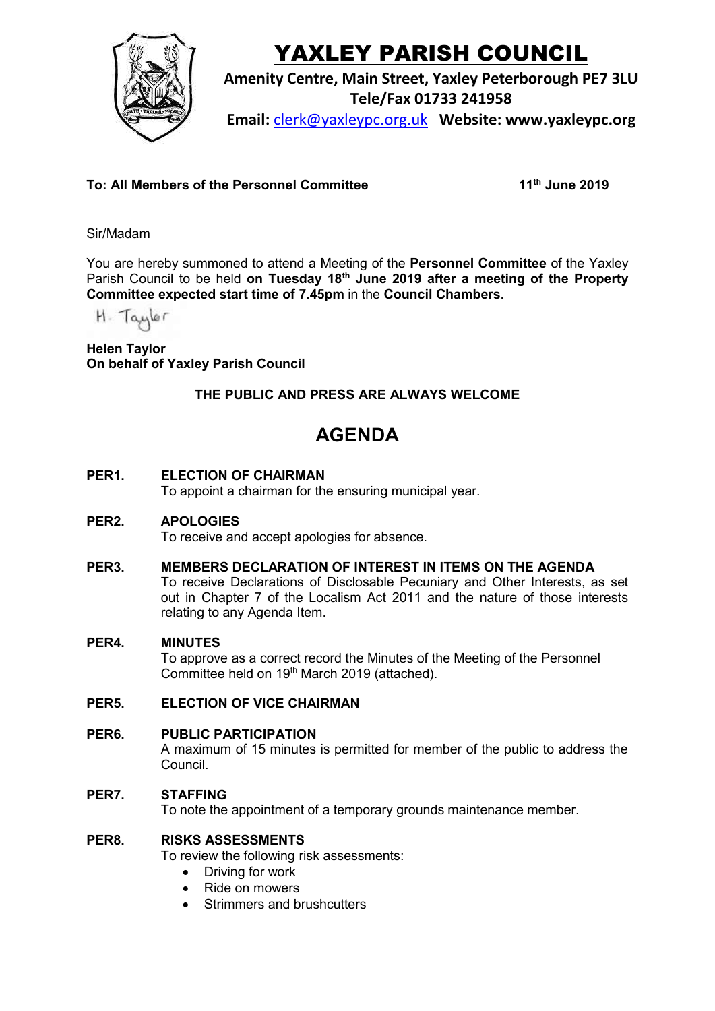

# YAXLEY PARISH COUNCIL

**Amenity Centre, Main Street, Yaxley Peterborough PE7 3LU**

**Tele/Fax 01733 241958**

**Email:** [clerk@yaxleypc.org.uk](mailto:clerk@yaxleypc.org.uk) **Website: www.yaxleypc.org**

### **To: All Members of the Personnel Committee**

**th June 2019**

Sir/Madam

You are hereby summoned to attend a Meeting of the **Personnel Committee** of the Yaxley Parish Council to be held on Tuesday 18<sup>th</sup> June 2019 after a meeting of the Property **Committee expected start time of 7.45pm** in the **Council Chambers.**

H. Taylor

**Helen Taylor On behalf of Yaxley Parish Council**

## **THE PUBLIC AND PRESS ARE ALWAYS WELCOME**

## **AGENDA**

#### **PER1. ELECTION OF CHAIRMAN**

To appoint a chairman for the ensuring municipal year.

#### **PER2. APOLOGIES**

To receive and accept apologies for absence.

**PER3. MEMBERS DECLARATION OF INTEREST IN ITEMS ON THE AGENDA** To receive Declarations of Disclosable Pecuniary and Other Interests, as set out in Chapter 7 of the Localism Act 2011 and the nature of those interests relating to any Agenda Item.

#### **PER4. MINUTES**

To approve as a correct record the Minutes of the Meeting of the Personnel Committee held on 19<sup>th</sup> March 2019 (attached).

#### **PER5. ELECTION OF VICE CHAIRMAN**

**PER6. PUBLIC PARTICIPATION** A maximum of 15 minutes is permitted for member of the public to address the Council.

#### **PER7. STAFFING**

To note the appointment of a temporary grounds maintenance member.

#### **PER8. RISKS ASSESSMENTS**

To review the following risk assessments:

- Driving for work
- Ride on mowers
- Strimmers and brushcutters